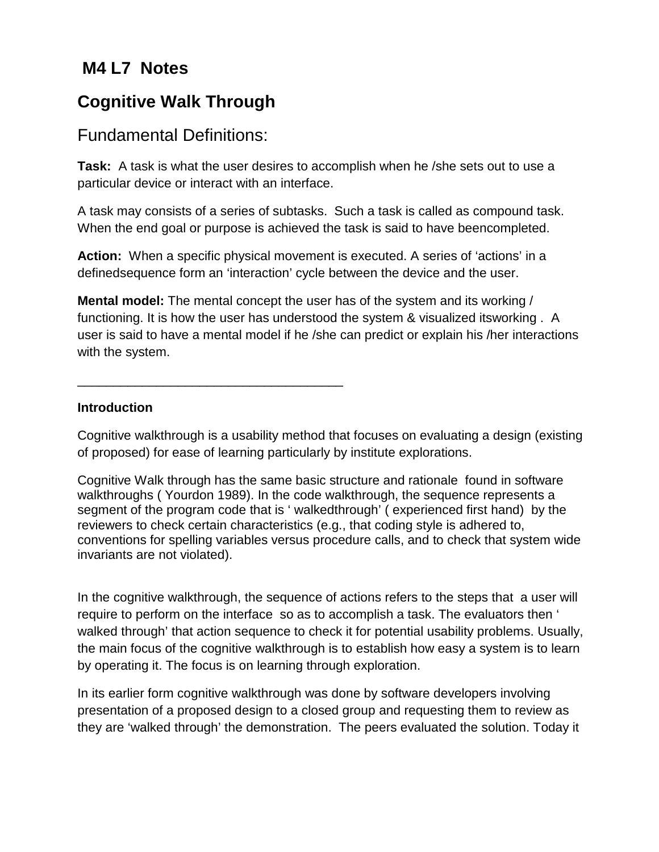## **M4 L7 Notes**

# **Cognitive Walk Through**

## Fundamental Definitions:

\_\_\_\_\_\_\_\_\_\_\_\_\_\_\_\_\_\_\_\_\_\_\_\_\_\_\_\_\_\_\_\_\_\_\_\_\_

**Task:** A task is what the user desires to accomplish when he /she sets out to use a particular device or interact with an interface.

A task may consists of a series of subtasks. Such a task is called as compound task. When the end goal or purpose is achieved the task is said to have beencompleted.

**Action:** When a specific physical movement is executed. A series of 'actions' in a definedsequence form an 'interaction' cycle between the device and the user.

**Mental model:** The mental concept the user has of the system and its working / functioning. It is how the user has understood the system & visualized itsworking . A user is said to have a mental model if he /she can predict or explain his /her interactions with the system.

**Introduction**

Cognitive walkthrough is a usability method that focuses on evaluating a design (existing of proposed) for ease of learning particularly by institute explorations.

Cognitive Walk through has the same basic structure and rationale found in software walkthroughs ( Yourdon 1989). In the code walkthrough, the sequence represents a segment of the program code that is ' walkedthrough' ( experienced first hand) by the reviewers to check certain characteristics (e.g., that coding style is adhered to, conventions for spelling variables versus procedure calls, and to check that system wide invariants are not violated).

In the cognitive walkthrough, the sequence of actions refers to the steps that a user will require to perform on the interface so as to accomplish a task. The evaluators then ' walked through' that action sequence to check it for potential usability problems. Usually, the main focus of the cognitive walkthrough is to establish how easy a system is to learn by operating it. The focus is on learning through exploration.

In its earlier form cognitive walkthrough was done by software developers involving presentation of a proposed design to a closed group and requesting them to review as they are 'walked through' the demonstration. The peers evaluated the solution. Today it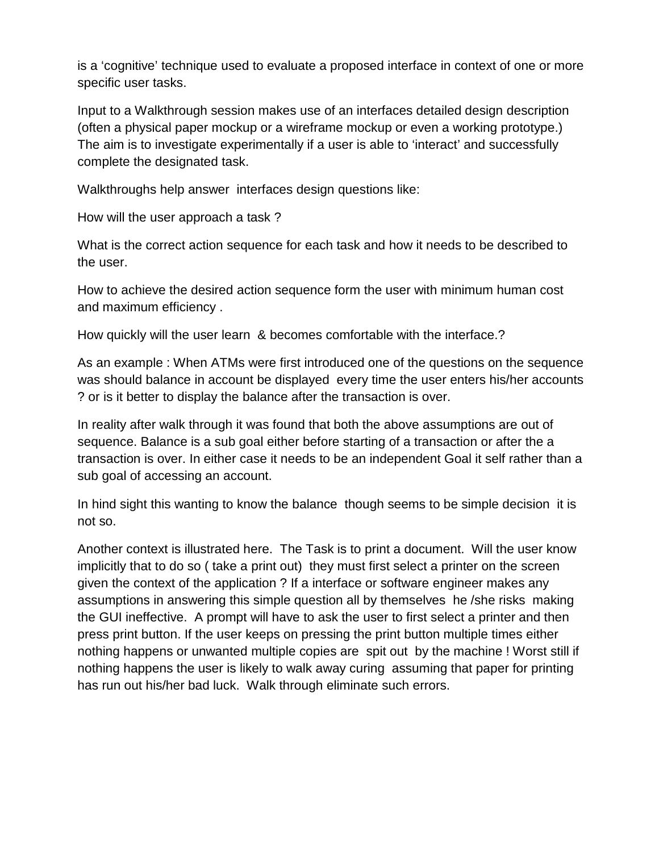is a 'cognitive' technique used to evaluate a proposed interface in context of one or more specific user tasks.

Input to a Walkthrough session makes use of an interfaces detailed design description (often a physical paper mockup or a wireframe mockup or even a working prototype.) The aim is to investigate experimentally if a user is able to 'interact' and successfully complete the designated task.

Walkthroughs help answer interfaces design questions like:

How will the user approach a task ?

What is the correct action sequence for each task and how it needs to be described to the user.

How to achieve the desired action sequence form the user with minimum human cost and maximum efficiency .

How quickly will the user learn & becomes comfortable with the interface.?

As an example : When ATMs were first introduced one of the questions on the sequence was should balance in account be displayed every time the user enters his/her accounts ? or is it better to display the balance after the transaction is over.

In reality after walk through it was found that both the above assumptions are out of sequence. Balance is a sub goal either before starting of a transaction or after the a transaction is over. In either case it needs to be an independent Goal it self rather than a sub goal of accessing an account.

In hind sight this wanting to know the balance though seems to be simple decision it is not so.

Another context is illustrated here. The Task is to print a document. Will the user know implicitly that to do so ( take a print out) they must first select a printer on the screen given the context of the application ? If a interface or software engineer makes any assumptions in answering this simple question all by themselves he /she risks making the GUI ineffective. A prompt will have to ask the user to first select a printer and then press print button. If the user keeps on pressing the print button multiple times either nothing happens or unwanted multiple copies are spit out by the machine ! Worst still if nothing happens the user is likely to walk away curing assuming that paper for printing has run out his/her bad luck. Walk through eliminate such errors.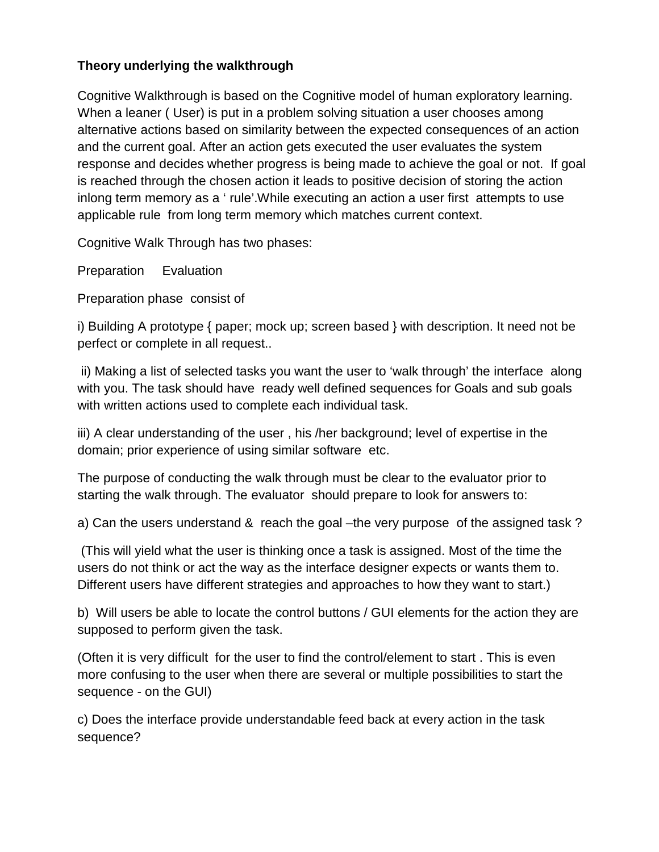### **Theory underlying the walkthrough**

Cognitive Walkthrough is based on the Cognitive model of human exploratory learning. When a leaner ( User) is put in a problem solving situation a user chooses among alternative actions based on similarity between the expected consequences of an action and the current goal. After an action gets executed the user evaluates the system response and decides whether progress is being made to achieve the goal or not. If goal is reached through the chosen action it leads to positive decision of storing the action inlong term memory as a ' rule'.While executing an action a user first attempts to use applicable rule from long term memory which matches current context.

Cognitive Walk Through has two phases:

Preparation Evaluation

Preparation phase consist of

i) Building A prototype { paper; mock up; screen based } with description. It need not be perfect or complete in all request..

ii) Making a list of selected tasks you want the user to 'walk through' the interface along with you. The task should have ready well defined sequences for Goals and sub goals with written actions used to complete each individual task.

iii) A clear understanding of the user , his /her background; level of expertise in the domain; prior experience of using similar software etc.

The purpose of conducting the walk through must be clear to the evaluator prior to starting the walk through. The evaluator should prepare to look for answers to:

a) Can the users understand & reach the goal –the very purpose of the assigned task ?

(This will yield what the user is thinking once a task is assigned. Most of the time the users do not think or act the way as the interface designer expects or wants them to. Different users have different strategies and approaches to how they want to start.)

b) Will users be able to locate the control buttons / GUI elements for the action they are supposed to perform given the task.

(Often it is very difficult for the user to find the control/element to start . This is even more confusing to the user when there are several or multiple possibilities to start the sequence - on the GUI)

c) Does the interface provide understandable feed back at every action in the task sequence?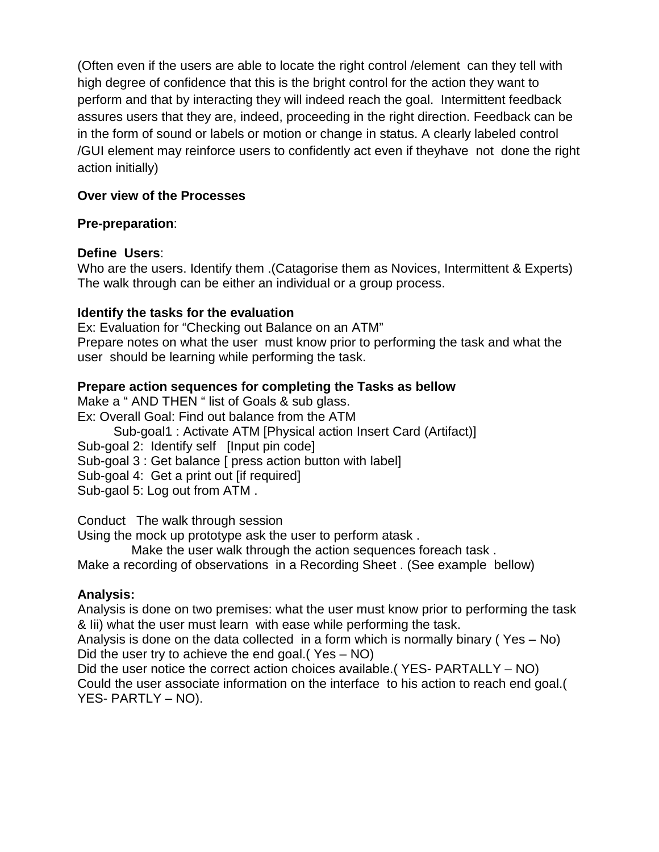(Often even if the users are able to locate the right control /element can they tell with high degree of confidence that this is the bright control for the action they want to perform and that by interacting they will indeed reach the goal. Intermittent feedback assures users that they are, indeed, proceeding in the right direction. Feedback can be in the form of sound or labels or motion or change in status. A clearly labeled control /GUI element may reinforce users to confidently act even if theyhave not done the right action initially)

#### **Over view of the Processes**

#### **Pre-preparation**:

#### **Define Users**:

Who are the users. Identify them .(Catagorise them as Novices, Intermittent & Experts) The walk through can be either an individual or a group process.

#### **Identify the tasks for the evaluation**

Ex: Evaluation for "Checking out Balance on an ATM" Prepare notes on what the user must know prior to performing the task and what the user should be learning while performing the task.

#### **Prepare action sequences for completing the Tasks as bellow**

Make a " AND THEN " list of Goals & sub glass.

Ex: Overall Goal: Find out balance from the ATM

Sub-goal1 : Activate ATM [Physical action Insert Card (Artifact)]

Sub-goal 2: Identify self [Input pin code]

Sub-goal 3 : Get balance [ press action button with label]

Sub-goal 4: Get a print out [if required]

Sub-gaol 5: Log out from ATM .

Conduct The walk through session

Using the mock up prototype ask the user to perform atask .

Make the user walk through the action sequences foreach task .

Make a recording of observations in a Recording Sheet . (See example bellow)

## **Analysis:**

Analysis is done on two premises: what the user must know prior to performing the task & Iii) what the user must learn with ease while performing the task.

Analysis is done on the data collected in a form which is normally binary ( Yes – No) Did the user try to achieve the end goal.( Yes – NO)

Did the user notice the correct action choices available.( YES- PARTALLY – NO) Could the user associate information on the interface to his action to reach end goal.( YES- PARTLY – NO).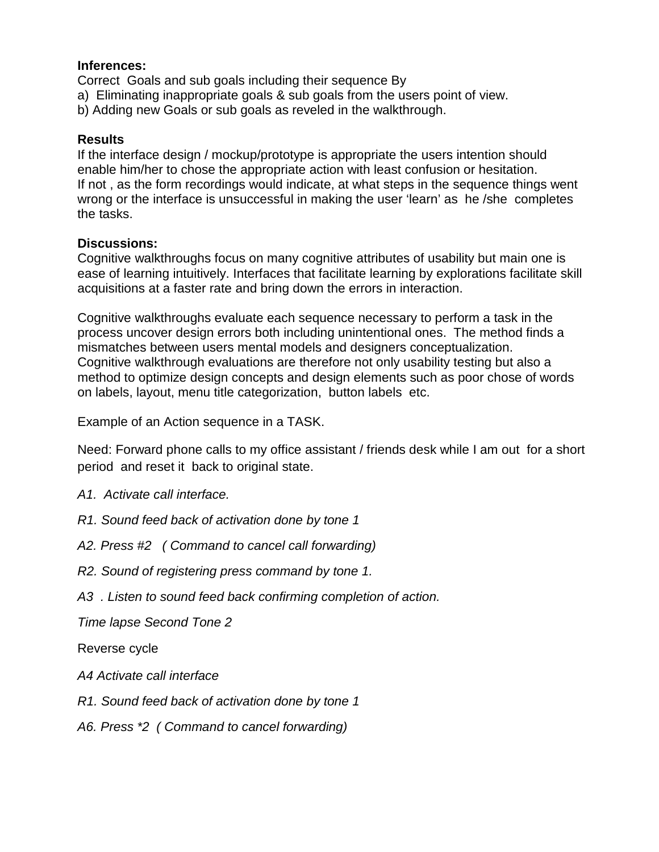#### **Inferences:**

Correct Goals and sub goals including their sequence By

- a) Eliminating inappropriate goals & sub goals from the users point of view.
- b) Adding new Goals or sub goals as reveled in the walkthrough.

#### **Results**

If the interface design / mockup/prototype is appropriate the users intention should enable him/her to chose the appropriate action with least confusion or hesitation. If not , as the form recordings would indicate, at what steps in the sequence things went wrong or the interface is unsuccessful in making the user 'learn' as he /she completes the tasks.

#### **Discussions:**

Cognitive walkthroughs focus on many cognitive attributes of usability but main one is ease of learning intuitively. Interfaces that facilitate learning by explorations facilitate skill acquisitions at a faster rate and bring down the errors in interaction.

Cognitive walkthroughs evaluate each sequence necessary to perform a task in the process uncover design errors both including unintentional ones. The method finds a mismatches between users mental models and designers conceptualization. Cognitive walkthrough evaluations are therefore not only usability testing but also a method to optimize design concepts and design elements such as poor chose of words on labels, layout, menu title categorization, button labels etc.

Example of an Action sequence in a TASK.

Need: Forward phone calls to my office assistant / friends desk while I am out for a short period and reset it back to original state.

- *A1. Activate call interface.*
- *R1. Sound feed back of activation done by tone 1*
- *A2. Press #2 ( Command to cancel call forwarding)*
- *R2. Sound of registering press command by tone 1.*
- *A3 . Listen to sound feed back confirming completion of action.*

*Time lapse Second Tone 2*

Reverse cycle

- *A4 Activate call interface*
- *R1. Sound feed back of activation done by tone 1*
- *A6. Press \*2 ( Command to cancel forwarding)*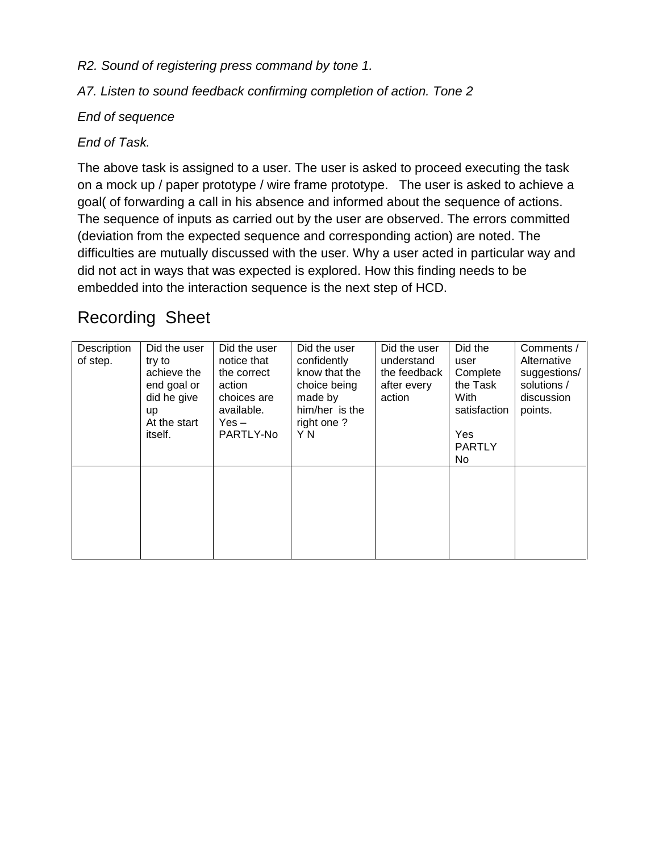*R2. Sound of registering press command by tone 1.*

*A7. Listen to sound feedback confirming completion of action. Tone 2*

### *End of sequence*

## *End of Task.*

The above task is assigned to a user. The user is asked to proceed executing the task on a mock up / paper prototype / wire frame prototype. The user is asked to achieve a goal( of forwarding a call in his absence and informed about the sequence of actions. The sequence of inputs as carried out by the user are observed. The errors committed (deviation from the expected sequence and corresponding action) are noted. The difficulties are mutually discussed with the user. Why a user acted in particular way and did not act in ways that was expected is explored. How this finding needs to be embedded into the interaction sequence is the next step of HCD.

# Recording Sheet

| Description<br>of step. | Did the user<br>try to<br>achieve the<br>end goal or<br>did he give<br><b>up</b><br>At the start<br>itself. | Did the user<br>notice that<br>the correct<br>action<br>choices are<br>available.<br>$Yes -$<br>PARTLY-No | Did the user<br>confidently<br>know that the<br>choice being<br>made by<br>him/her is the<br>right one?<br>Y N | Did the user<br>understand<br>the feedback<br>after every<br>action | Did the<br>user<br>Complete<br>the Task<br>With<br>satisfaction<br>Yes<br><b>PARTLY</b><br>No. | Comments /<br>Alternative<br>suggestions/<br>solutions /<br>discussion<br>points. |
|-------------------------|-------------------------------------------------------------------------------------------------------------|-----------------------------------------------------------------------------------------------------------|----------------------------------------------------------------------------------------------------------------|---------------------------------------------------------------------|------------------------------------------------------------------------------------------------|-----------------------------------------------------------------------------------|
|                         |                                                                                                             |                                                                                                           |                                                                                                                |                                                                     |                                                                                                |                                                                                   |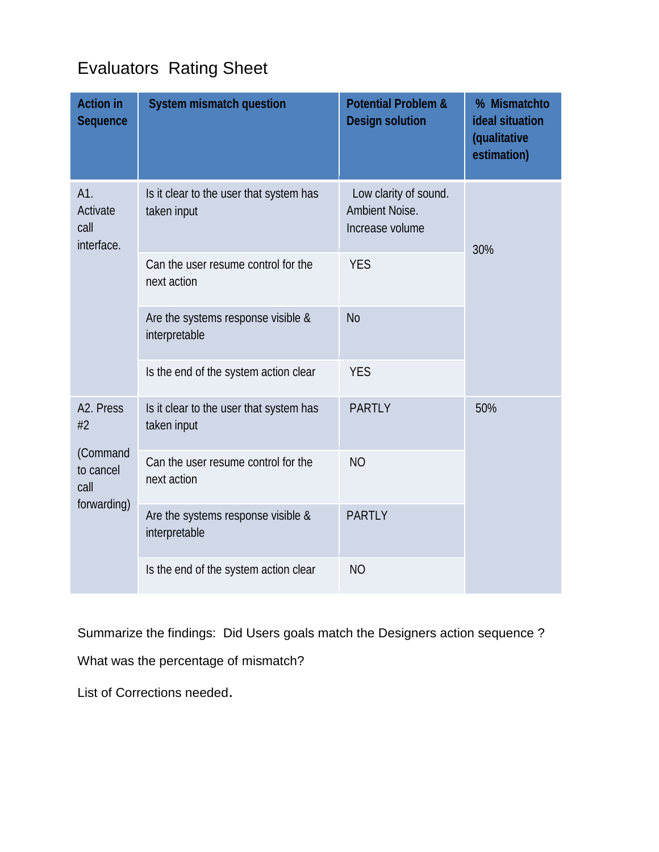# Evaluators Rating Sheet

| <b>Action in</b><br>Sequence          | <b>System mismatch question</b>                        | <b>Potential Problem &amp;</b><br><b>Design solution</b>   | % Mismatchto<br>ideal situation<br>(qualitative<br>estimation) |
|---------------------------------------|--------------------------------------------------------|------------------------------------------------------------|----------------------------------------------------------------|
| A1.<br>Activate<br>call<br>interface. | Is it clear to the user that system has<br>taken input | Low clarity of sound.<br>Ambient Noise.<br>Increase volume | 30%                                                            |
|                                       | Can the user resume control for the<br>next action     | <b>YES</b>                                                 |                                                                |
|                                       | Are the systems response visible &<br>interpretable    | <b>No</b>                                                  |                                                                |
|                                       | Is the end of the system action clear                  | <b>YES</b>                                                 |                                                                |
| A <sub>2</sub> . Press<br>#2          | Is it clear to the user that system has<br>taken input | <b>PARTLY</b>                                              | 50%                                                            |
| (Command<br>to cancel<br>call         | Can the user resume control for the<br>next action     | <b>NO</b>                                                  |                                                                |
| forwarding)                           | Are the systems response visible &<br>interpretable    | <b>PARTLY</b>                                              |                                                                |
|                                       | Is the end of the system action clear                  | <b>NO</b>                                                  |                                                                |

Summarize the findings: Did Users goals match the Designers action sequence ?

What was the percentage of mismatch?

List of Corrections needed.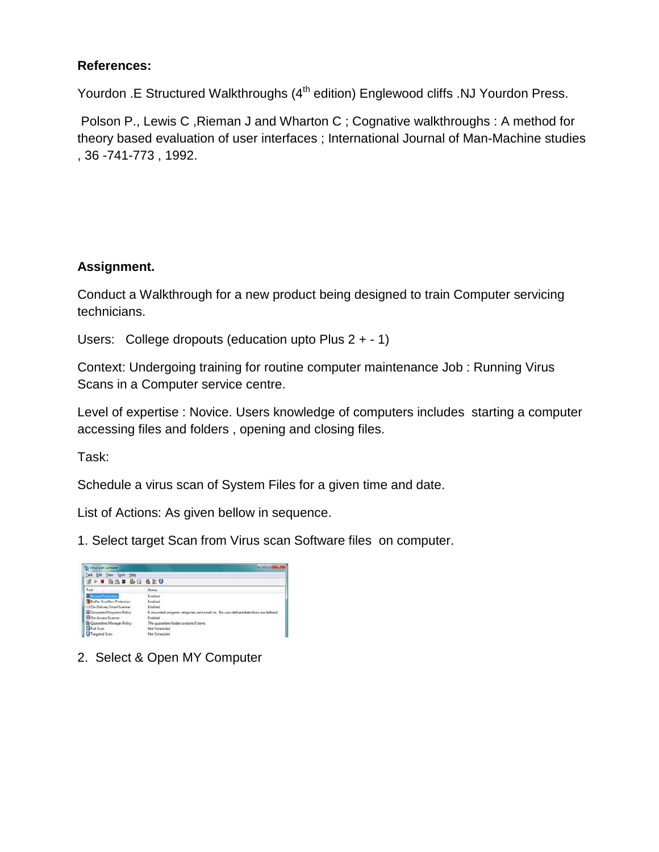#### **References:**

Yourdon .E Structured Walkthroughs (4<sup>th</sup> edition) Englewood cliffs .NJ Yourdon Press.

Polson P., Lewis C, Rieman J and Wharton C; Cognative walkthroughs : A method for theory based evaluation of user interfaces ; International Journal of Man-Machine studies , 36 -741-773 , 1992.

#### **Assignment.**

Conduct a Walkthrough for a new product being designed to train Computer servicing technicians.

Users: College dropouts (education upto Plus 2 + - 1)

Context: Undergoing training for routine computer maintenance Job : Running Virus Scans in a Computer service centre.

Level of expertise : Novice. Users knowledge of computers includes starting a computer accessing files and folders , opening and closing files.

Task:

Schedule a virus scan of System Files for a given time and date.

List of Actions: As given bellow in sequence.

1. Select target Scan from Virus scan Software files on computer.

| <b>N</b> a VirusScan Console      | $-101 - 1$                                                                           |
|-----------------------------------|--------------------------------------------------------------------------------------|
| Task Edit View Tools Help         |                                                                                      |
| 2> = as* b 3 420                  |                                                                                      |
| Task                              | <b>Status</b>                                                                        |
| <b>Access Protection</b>          | Friabled.                                                                            |
| <b>Buffer Overflow Protection</b> | Enabled                                                                              |
| CDn-Delivery Email Scanner        | Enabled                                                                              |
| O Unwanted Programs Pelicy        | 8 unwanted program categories are turned on. No user-defined detections are defined. |
| <b>DI</b> On-Access Scanner       | Enabled                                                                              |
| Quarantine Manager Policy         | The quarantine folder contains 0 items                                               |
| <b>Exit Scan</b>                  | Net Scheduled                                                                        |
| Targeted Scan                     | Not Scheduled                                                                        |

2. Select & Open MY Computer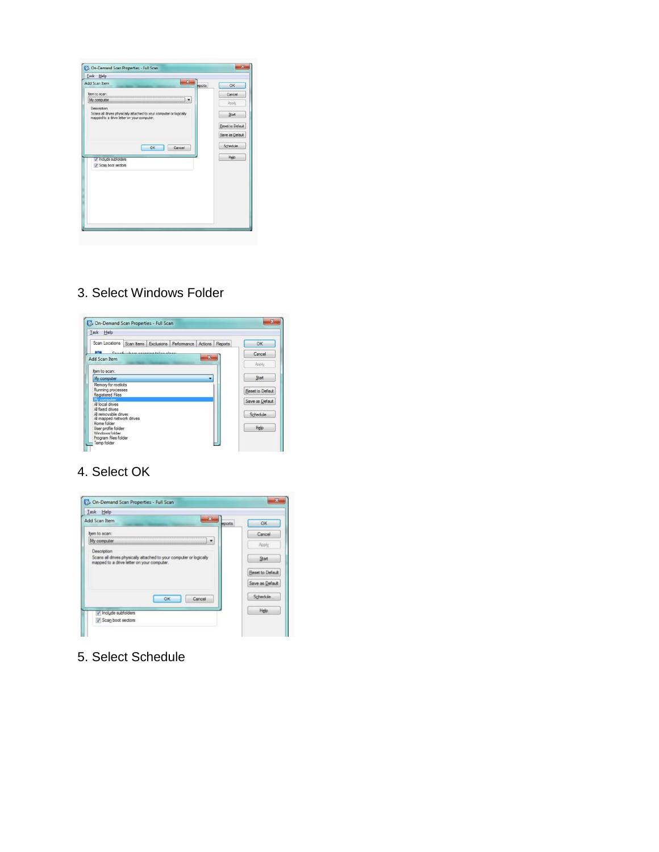

## 3. Select Windows Folder



#### 4. Select OK



5. Select Schedule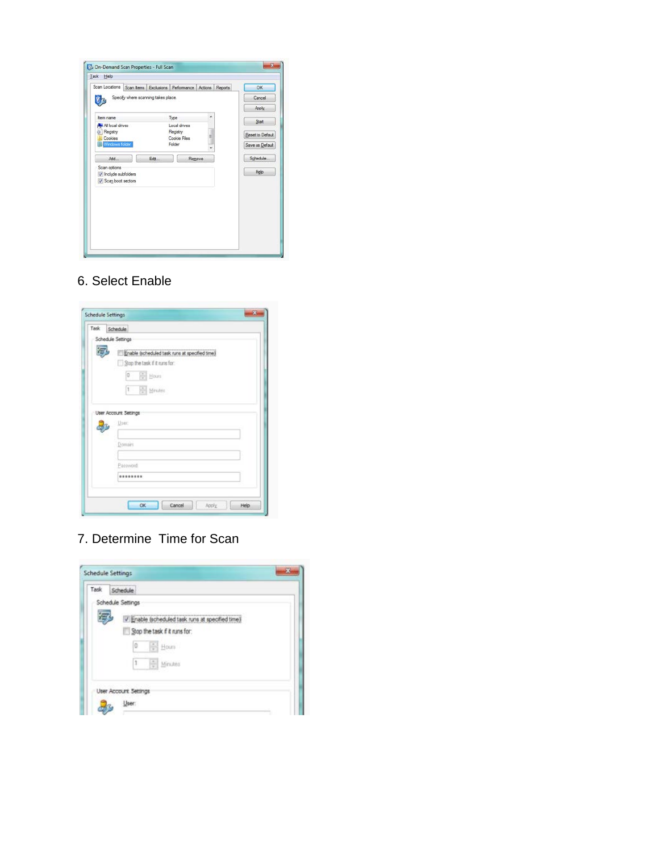| Scan Locations Scan tems Exclusions Performance Actions Reports |                          |   | OK               |
|-----------------------------------------------------------------|--------------------------|---|------------------|
| Specify where scanning takes place.                             |                          |   | Cancel           |
|                                                                 |                          |   | Apply            |
| tem name                                                        | Type                     | ۰ | Start            |
| Al local drives                                                 | Local drives             |   |                  |
| <b>D</b> Registry<br>Cookies                                    | Registry<br>Cookie Files | Ħ | Reset to Default |
| Windows folder                                                  | Folder                   |   | Save as Default  |
| Add                                                             | Edit<br>Remove           |   | Schedule.        |
| Scan options                                                    |                          |   | Heip             |
| / Include subfolders                                            |                          |   |                  |
| V Scan boot sectors                                             |                          |   |                  |
|                                                                 |                          |   |                  |
|                                                                 |                          |   |                  |
|                                                                 |                          |   |                  |
|                                                                 |                          |   |                  |
|                                                                 |                          |   |                  |

## 6. Select Enable

| Task | Schedule                                                                                           |
|------|----------------------------------------------------------------------------------------------------|
|      | Schedule Settings                                                                                  |
|      | Enable (scheduled task runs at specified time)<br>Stop the task if it runs for:<br>€<br>o<br>Hours |
|      | $\frac{1}{2}$ Minutes<br>$1 -$<br>User Account Settings<br>User:                                   |
|      | Domain                                                                                             |
|      | Pacoviord:<br>                                                                                     |

7. Determine Time for Scan

| Task | Schedule                                         |  |
|------|--------------------------------------------------|--|
|      | Schedule Settings                                |  |
|      | V Enable (scheduled task runs at specified time) |  |
|      | Stop the task if it runs for:                    |  |
|      | Hours<br>o                                       |  |
|      | $\vert$ 1<br>H<br>Minutes                        |  |
|      | User Account Settings                            |  |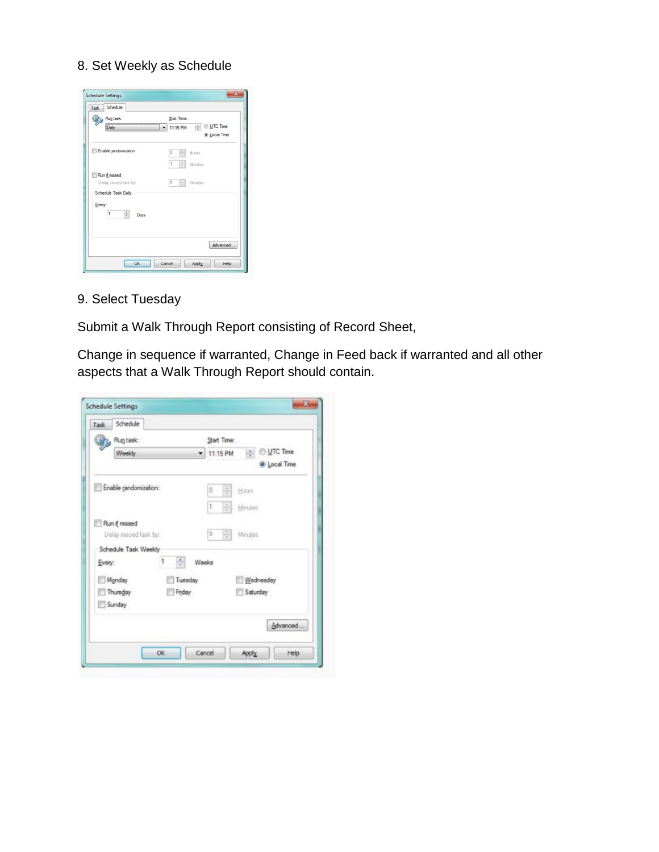#### 8. Set Weekly as Schedule

|        | Run task:                            | Start Time:                               |
|--------|--------------------------------------|-------------------------------------------|
|        | Daily                                | Le © UTC Time<br>11:15 PM<br>C Local Time |
|        | Enable randomization:                | 칅<br>ö<br>Hours                           |
|        |                                      | 1<br>÷<br>Mindes                          |
|        | Run if missed                        |                                           |
|        | Delay missed task by:                | 周<br>5<br>Minutes                         |
|        | Schedule Task Daily                  |                                           |
| Every: | $\overline{\mathbf{1}}$<br>÷<br>Days |                                           |
|        |                                      |                                           |

9. Select Tuesday

Submit a Walk Through Report consisting of Record Sheet,

Change in sequence if warranted, Change in Feed back if warranted and all other aspects that a Walk Through Report should contain.

|        | Run task:             |         |        | Start Time: |         |            |              |
|--------|-----------------------|---------|--------|-------------|---------|------------|--------------|
|        | Weekly                | ۰       |        | 11:15 PM    |         | o UTC Time |              |
|        |                       |         |        |             |         |            | @ Local Time |
|        | Enable randomization: |         | o      | ÷           | Hours   |            |              |
|        |                       |         | lt.    | ÷           | Minutes |            |              |
|        | Run if missed         |         |        |             |         |            |              |
|        | Delay missed task by: |         | э      | ÷           | Minutes |            |              |
|        | Schedule Task Weekly  |         |        |             |         |            |              |
| Every: |                       | ÷<br>1  | Weeks  |             |         |            |              |
| Monday |                       | Tuesday |        |             |         | Wednesday  |              |
|        | Thursday              | Friday  |        |             |         | Saturday   |              |
| Sunday |                       |         |        |             |         |            |              |
|        |                       |         |        |             |         |            | Advanced     |
|        |                       |         |        |             |         |            |              |
|        |                       | OK.     | Cancel |             | Apply   |            | Help         |